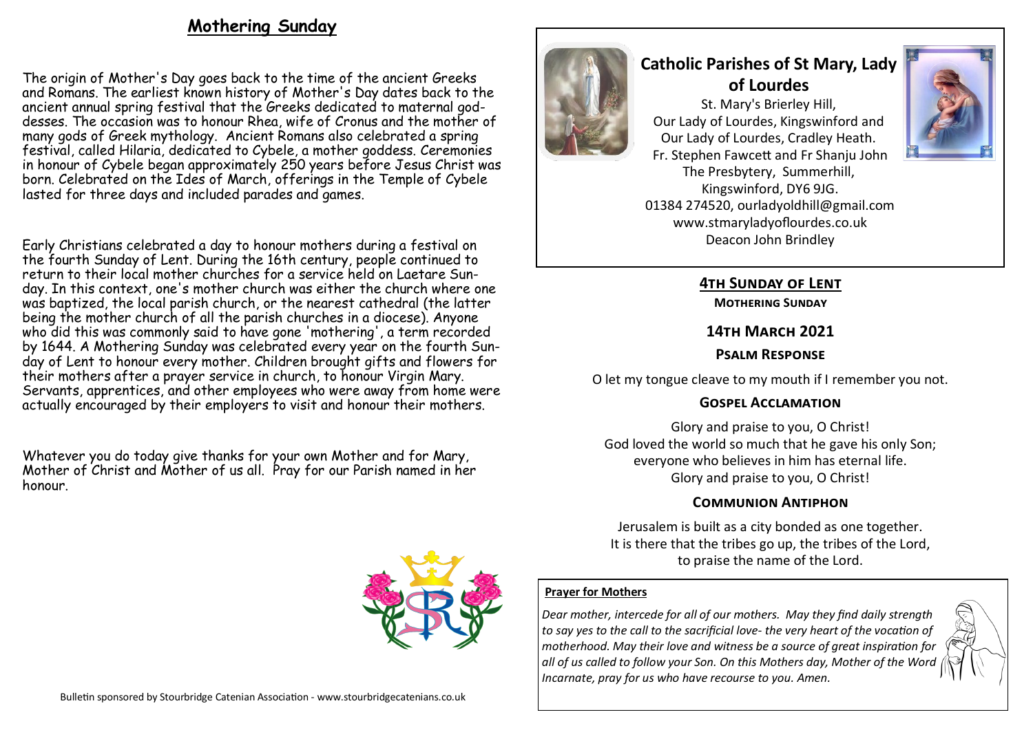# **Mothering Sunday**

The origin of Mother's Day goes back to the time of the ancient Greeks and Romans. The earliest known history of Mother's Day dates back to the ancient annual spring festival that the Greeks dedicated to maternal goddesses. The occasion was to honour Rhea, wife of Cronus and the mother of many gods of Greek mythology. Ancient Romans also celebrated a spring festival, called Hilaria, dedicated to Cybele, a mother goddess. Ceremonies in honour of Cybele began approximately 250 years before Jesus Christ was born. Celebrated on the Ides of March, offerings in the Temple of Cybele lasted for three days and included parades and games.

Early Christians celebrated a day to honour mothers during a festival on the fourth Sunday of Lent. During the [16th century,](https://en.wikipedia.org/wiki/16th_century) people continued to return to their local mother churches for a service held on Laetare Sunday. In this context, one's mother church was either the church where one was [baptized,](https://en.wikipedia.org/wiki/Baptized) the local [parish church,](https://en.wikipedia.org/wiki/Parish_church) or the nearest cathedral (the latter being the mother church of all the parish churches in a [diocese\).](https://en.wikipedia.org/wiki/Diocese) Anyone who did this was commonly said to have gone 'mothering', a term recorded by 1644. A Mothering Sunday was celebrated every year on the fourth Sunday of Lent to honour every mother. Children brought gifts and flowers for their mothers after a prayer service in church, to honour Virgin Mary. Servants, apprentices, and other employees who were away from home were actually encouraged by their employers to visit and honour their mothers.

Whatever you do today give thanks for your own Mother and for Mary, Mother of Christ and Mother of us all. Pray for our Parish named in her honour.





# **Catholic Parishes of St Mary, Lady of Lourdes**

St. Mary's Brierley Hill, Our Lady of Lourdes, Kingswinford and Our Lady of Lourdes, Cradley Heath. Fr. Stephen Fawcett and Fr Shanju John The Presbytery, Summerhill, Kingswinford, DY6 9JG. 01384 274520, ourladyoldhill@gmail.com www.stmaryladyoflourdes.co.uk Deacon John Brindley



# **4th Sunday of Lent**

**Mothering Sunday**

#### **14th March 2021**

# **Psalm Response**

O let my tongue cleave to my mouth if I remember you not.

# **Gospel Acclamation**

Glory and praise to you, O Christ! God loved the world so much that he gave his only Son; everyone who believes in him has eternal life. Glory and praise to you, O Christ!

# **Communion Antiphon**

Jerusalem is built as a city bonded as one together. It is there that the tribes go up, the tribes of the Lord, to praise the name of the Lord.

# **Prayer for Mothers**

*Dear mother, intercede for all of our mothers. May they find daily strength to say yes to the call to the sacrificial love- the very heart of the vocation of motherhood. May their love and witness be a source of great inspiration for all of us called to follow your Son. On this Mothers day, Mother of the Word Incarnate, pray for us who have recourse to you. Amen.*